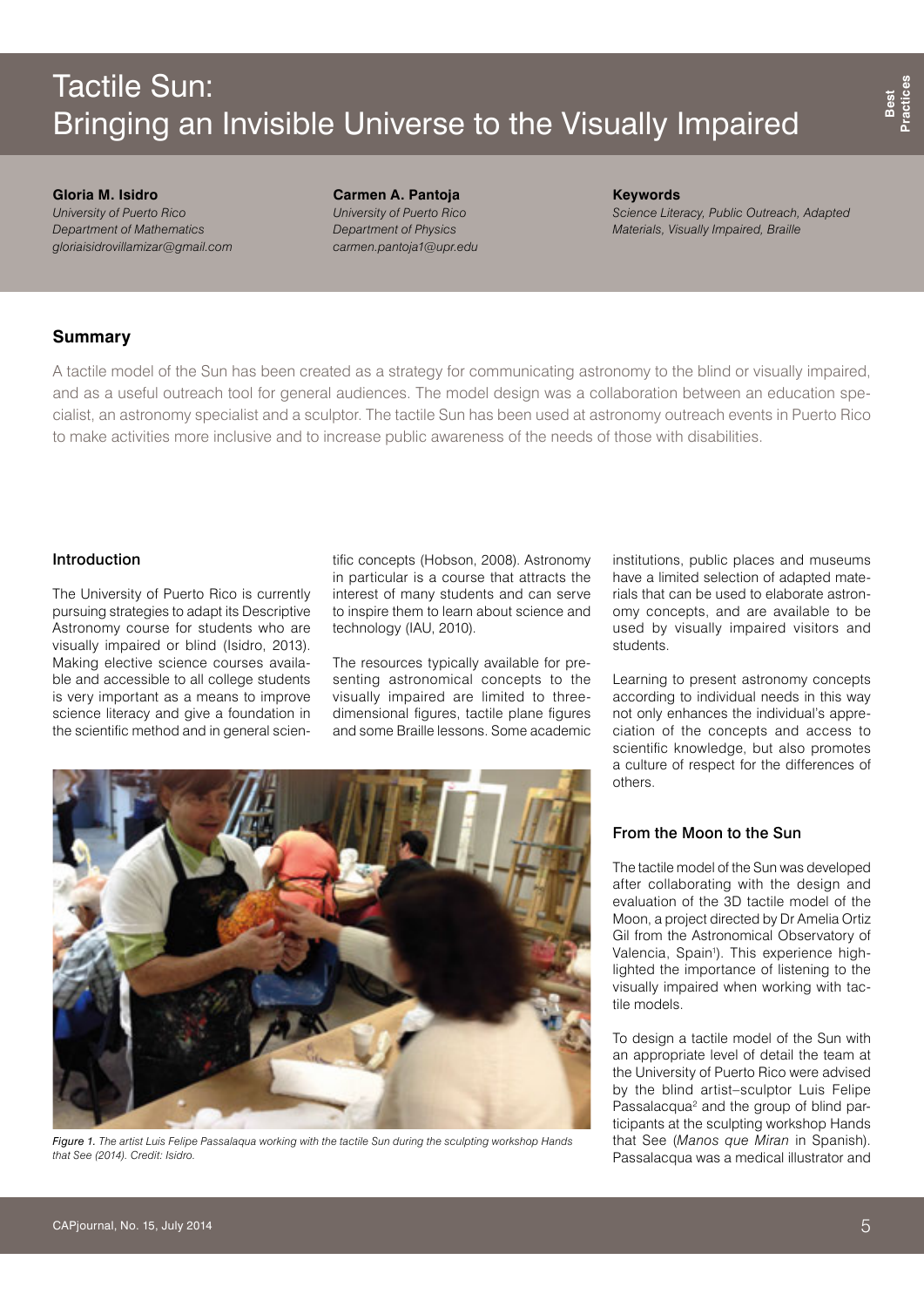# Tactile Sun: Bringing an Invisible Universe to the Visually Impaired

**Gloria M. Isidro**  *University of Puerto Rico Department of Mathematics gloriaisidrovillamizar@gmail.com* **Carmen A. Pantoja**  *University of Puerto Rico Department of Physics carmen.pantoja1@upr.edu* **Keywords** *Science Literacy, Public Outreach, Adapted Materials, Visually Impaired, Braille*

# **Summary**

A tactile model of the Sun has been created as a strategy for communicating astronomy to the blind or visually impaired, and as a useful outreach tool for general audiences. The model design was a collaboration between an education specialist, an astronomy specialist and a sculptor. The tactile Sun has been used at astronomy outreach events in Puerto Rico to make activities more inclusive and to increase public awareness of the needs of those with disabilities.

# Introduction

The University of Puerto Rico is currently pursuing strategies to adapt its Descriptive Astronomy course for students who are visually impaired or blind (Isidro, 2013). Making elective science courses available and accessible to all college students is very important as a means to improve science literacy and give a foundation in the scientific method and in general scientific concepts (Hobson, 2008). Astronomy in particular is a course that attracts the interest of many students and can serve to inspire them to learn about science and technology (IAU, 2010).

The resources typically available for presenting astronomical concepts to the visually impaired are limited to threedimensional figures, tactile plane figures and some Braille lessons. Some academic institutions, public places and museums have a limited selection of adapted materials that can be used to elaborate astronomy concepts, and are available to be used by visually impaired visitors and students.

Learning to present astronomy concepts according to individual needs in this way not only enhances the individual's appreciation of the concepts and access to scientific knowledge, but also promotes a culture of respect for the differences of others.

# From the Moon to the Sun

The tactile model of the Sun was developed after collaborating with the design and evaluation of the 3D tactile model of the Moon, a project directed by Dr Amelia Ortiz Gil from the Astronomical Observatory of Valencia, Spain<sup>1</sup>). This experience highlighted the importance of listening to the visually impaired when working with tactile models.

To design a tactile model of the Sun with an appropriate level of detail the team at the University of Puerto Rico were advised by the blind artist–sculptor Luis Felipe Passalacqua<sup>2</sup> and the group of blind participants at the sculpting workshop Hands that See (*Manos que Miran* in Spanish). Passalacqua was a medical illustrator and

*Figure 1. The artist Luis Felipe Passalaqua working with the tactile Sun during the sculpting workshop Hands that See (2014). Credit: Isidro.*

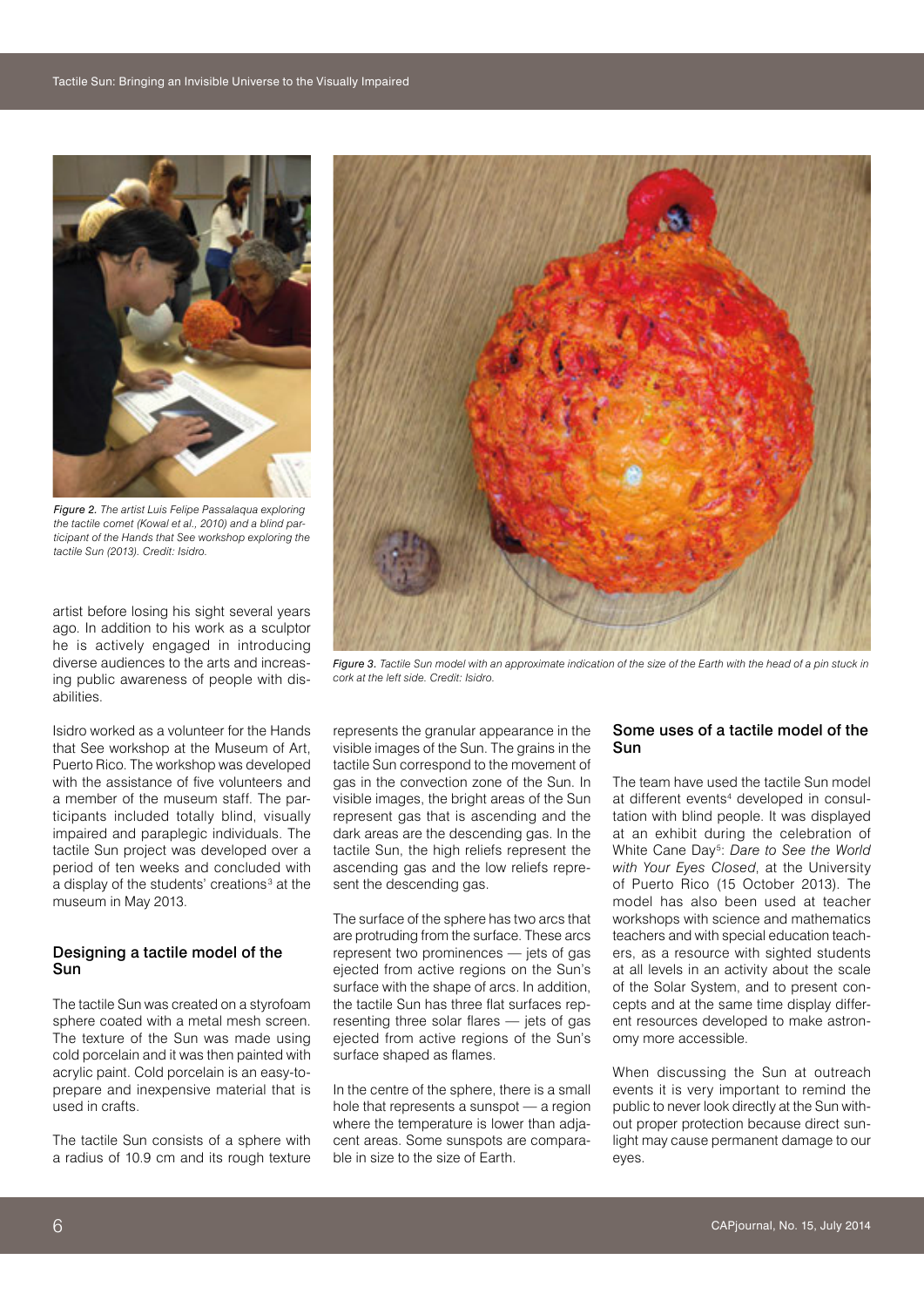

*Figure 2. The artist Luis Felipe Passalaqua exploring the tactile comet (Kowal et al., 2010) and a blind participant of the Hands that See workshop exploring the tactile Sun (2013). Credit: Isidro.*

artist before losing his sight several years ago. In addition to his work as a sculptor he is actively engaged in introducing diverse audiences to the arts and increasing public awareness of people with disabilities.

Isidro worked as a volunteer for the Hands that See workshop at the Museum of Art, Puerto Rico. The workshop was developed with the assistance of five volunteers and a member of the museum staff. The participants included totally blind, visually impaired and paraplegic individuals. The tactile Sun project was developed over a period of ten weeks and concluded with a display of the students' creations<sup>3</sup> at the museum in May 2013.

#### Designing a tactile model of the Sun

The tactile Sun was created on a styrofoam sphere coated with a metal mesh screen. The texture of the Sun was made using cold porcelain and it was then painted with acrylic paint. Cold porcelain is an easy-toprepare and inexpensive material that is used in crafts.

The tactile Sun consists of a sphere with a radius of 10.9 cm and its rough texture



*Figure 3. Tactile Sun model with an approximate indication of the size of the Earth with the head of a pin stuck in cork at the left side. Credit: Isidro.*

represents the granular appearance in the visible images of the Sun. The grains in the tactile Sun correspond to the movement of gas in the convection zone of the Sun. In visible images, the bright areas of the Sun represent gas that is ascending and the dark areas are the descending gas. In the tactile Sun, the high reliefs represent the ascending gas and the low reliefs represent the descending gas.

The surface of the sphere has two arcs that are protruding from the surface. These arcs represent two prominences — jets of gas ejected from active regions on the Sun's surface with the shape of arcs. In addition, the tactile Sun has three flat surfaces representing three solar flares — jets of gas ejected from active regions of the Sun's surface shaped as flames.

In the centre of the sphere, there is a small hole that represents a sunspot — a region where the temperature is lower than adjacent areas. Some sunspots are comparable in size to the size of Earth.

# Some uses of a tactile model of the Sun

The team have used the tactile Sun model at different events<sup>4</sup> developed in consultation with blind people. It was displayed at an exhibit during the celebration of White Cane Day<sup>5</sup>: Dare to See the World *with Your Eyes Closed*, at the University of Puerto Rico (15 October 2013). The model has also been used at teacher workshops with science and mathematics teachers and with special education teachers, as a resource with sighted students at all levels in an activity about the scale of the Solar System, and to present concepts and at the same time display different resources developed to make astronomy more accessible.

When discussing the Sun at outreach events it is very important to remind the public to never look directly at the Sun without proper protection because direct sunlight may cause permanent damage to our eyes.